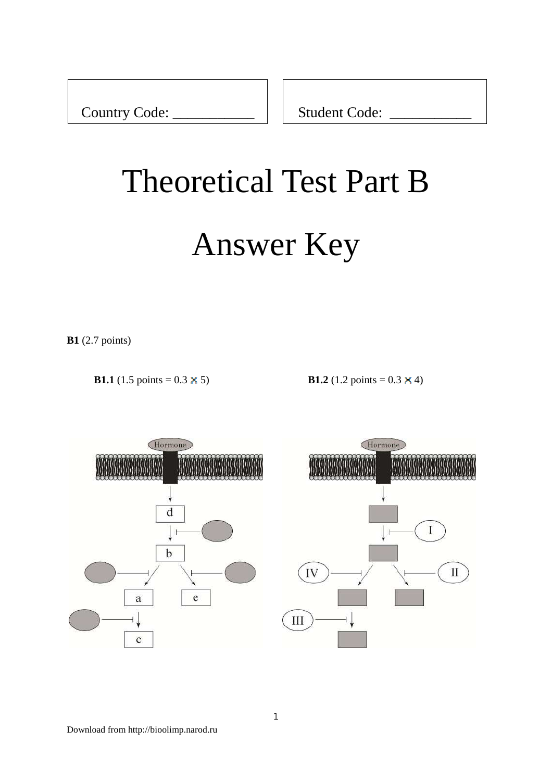Country Code: \_\_\_\_\_\_\_\_\_\_\_\_\_\_\_ | | Student Code:

# Theoretical Test Part B

# Answer Key

**B1** (2.7 points)

**B1.1** (1.5 points =  $0.3 \times 5$ ) **B1.2** (1.2 points =  $0.3 \times 4$ )



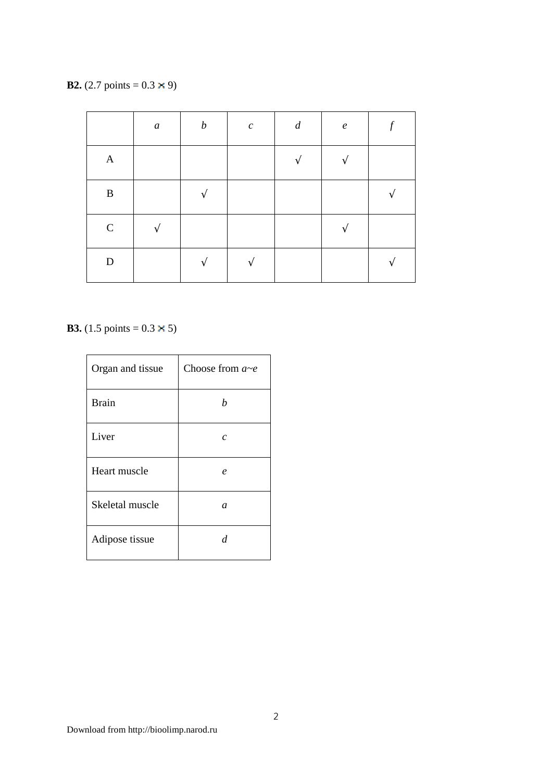**B2.** (2.7 points =  $0.3 \times 9$ )

|              | $\boldsymbol{a}$  | $\boldsymbol{b}$ | $\boldsymbol{c}$ | $\boldsymbol{d}$ | $\boldsymbol{e}$  | $\mathcal{f}$ |
|--------------|-------------------|------------------|------------------|------------------|-------------------|---------------|
| $\mathbf{A}$ |                   |                  |                  | $\mathcal{N}$    | $\mathbf{\hat{}}$ |               |
| $\, {\bf B}$ |                   | $\mathcal{L}$    |                  |                  |                   |               |
| ${\bf C}$    | $\mathbf{\hat{}}$ |                  |                  |                  | $\mathbf{\hat{}}$ |               |
| ${\bf D}$    |                   | ٦                |                  |                  |                   |               |

**B3.** (1.5 points =  $0.3 \times 5$ )

| Organ and tissue | Choose from $a \sim e$ |
|------------------|------------------------|
| <b>Brain</b>     | h                      |
| Liver            | $\overline{c}$         |
| Heart muscle     | $\boldsymbol{\rho}$    |
| Skeletal muscle  | $\mathfrak a$          |
| Adipose tissue   | d                      |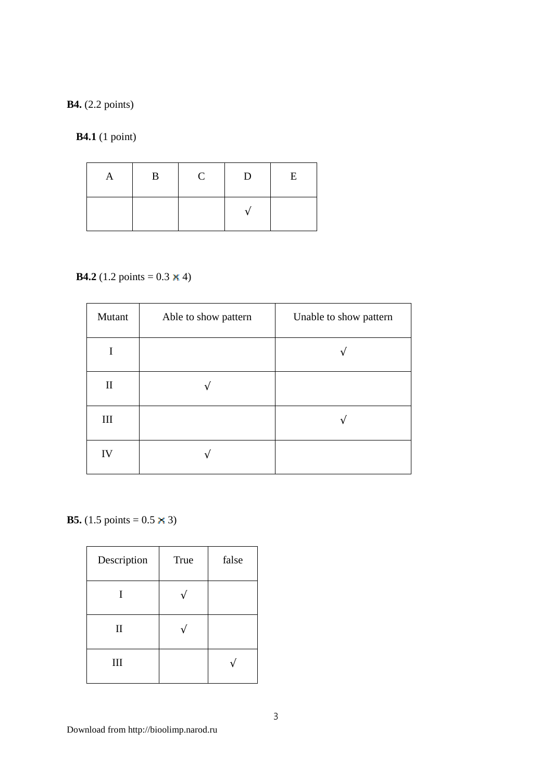#### **B4.** (2.2 points)

**B4.1** (1 point)

| A | B | $\mathbf C$ | D | E |
|---|---|-------------|---|---|
|   |   |             |   |   |

# **B4.2** (1.2 points =  $0.3 \times 4$ )

| Mutant       | Able to show pattern | Unable to show pattern |
|--------------|----------------------|------------------------|
|              |                      |                        |
| $\mathbf{I}$ |                      |                        |
| III          |                      |                        |
| IV           |                      |                        |

**B5.** (1.5 points =  $0.5 \times 3$ )

| Description  | <b>True</b> | false |
|--------------|-------------|-------|
| I            |             |       |
| $\mathbf{I}$ |             |       |
| III          |             |       |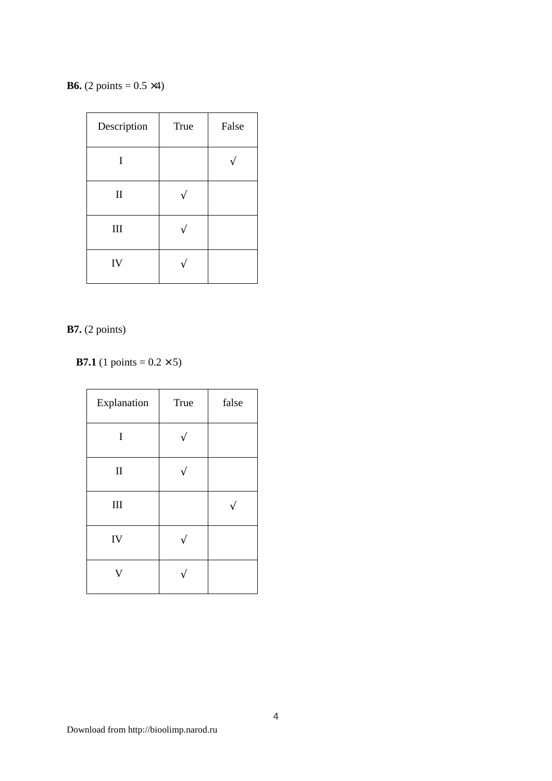**B6.** (2 points =  $0.5 \times 4$ )

| Description  | <b>True</b> | False |
|--------------|-------------|-------|
| I            |             |       |
| $\mathbf{I}$ |             |       |
| III          |             |       |
| IV           |             |       |

#### **B7.** (2 points)

**B7.1** (1 points =  $0.2 \times 5$ )

| Explanation | True | false |
|-------------|------|-------|
| I           |      |       |
| $\rm II$    |      |       |
| $\rm III$   |      |       |
| IV          |      |       |
| V           |      |       |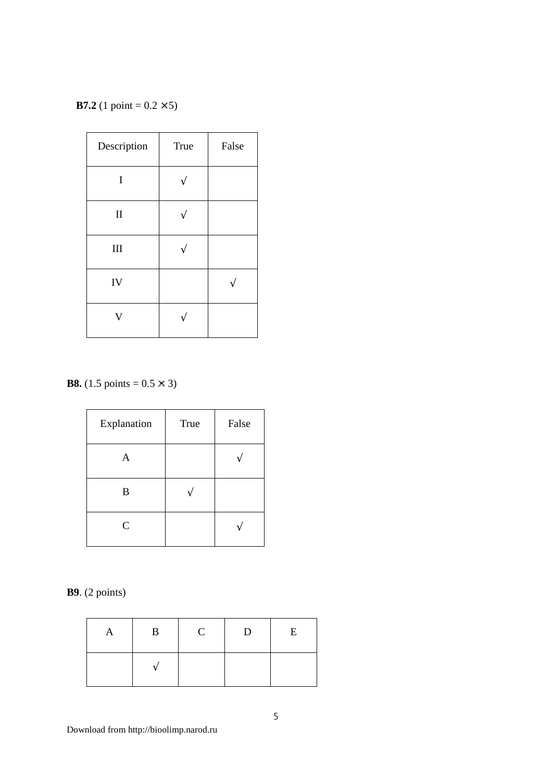**B7.2** (1 point =  $0.2 \times 5$ )

| Description             | <b>True</b> | False |
|-------------------------|-------------|-------|
| I                       |             |       |
| $\rm II$                |             |       |
| III                     |             |       |
| IV                      |             |       |
| $\overline{\mathsf{V}}$ |             |       |

**B8.** (1.5 points =  $0.5 \times 3$ )

| Explanation | True | False |
|-------------|------|-------|
| A           |      |       |
| B           |      |       |
| C           |      |       |

**B9**. (2 points)

| A | $\mathbf{B}$ | $\mathbf C$ | D | $\,$ E |
|---|--------------|-------------|---|--------|
|   |              |             |   |        |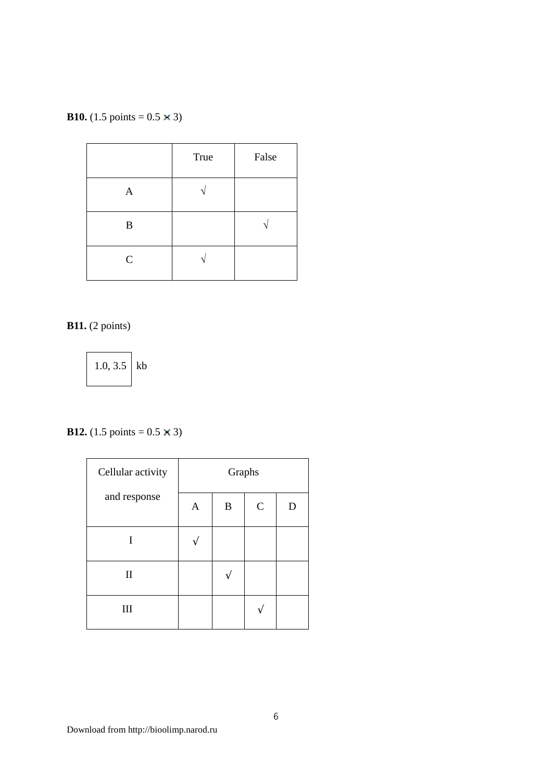**B10.** (1.5 points =  $0.5 \times 3$ )

|                  | True | False |
|------------------|------|-------|
| A                |      |       |
| $\boldsymbol{B}$ |      |       |
| $\mathbf C$      |      |       |

**B11.** (2 points)

1.0,  $3.5$  kb

#### **B12.** (1.5 points =  $0.5 \times 3$ )

| Cellular activity | Graphs       |                  |              |   |
|-------------------|--------------|------------------|--------------|---|
| and response      | $\mathbf{A}$ | $\boldsymbol{B}$ | $\mathsf{C}$ | D |
|                   |              |                  |              |   |
| $\mathbf{I}$      |              |                  |              |   |
| III               |              |                  |              |   |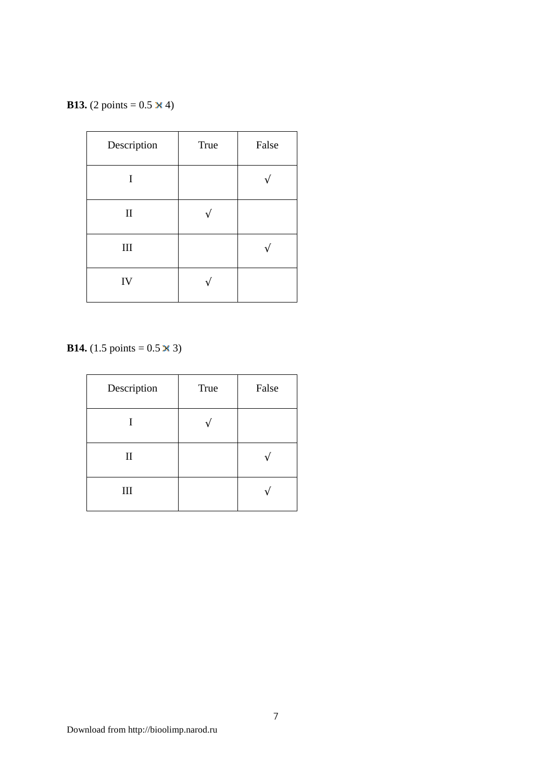**B13.** (2 points =  $0.5 \times 4$ )

| Description | <b>True</b> | False |
|-------------|-------------|-------|
| I           |             |       |
| $\rm II$    |             |       |
| $\rm III$   |             |       |
| IV          |             |       |

**B14.** (1.5 points =  $0.5 \times 3$ )

| Description  | True | False |
|--------------|------|-------|
|              |      |       |
| $\mathbf{I}$ |      |       |
| $\rm III$    |      |       |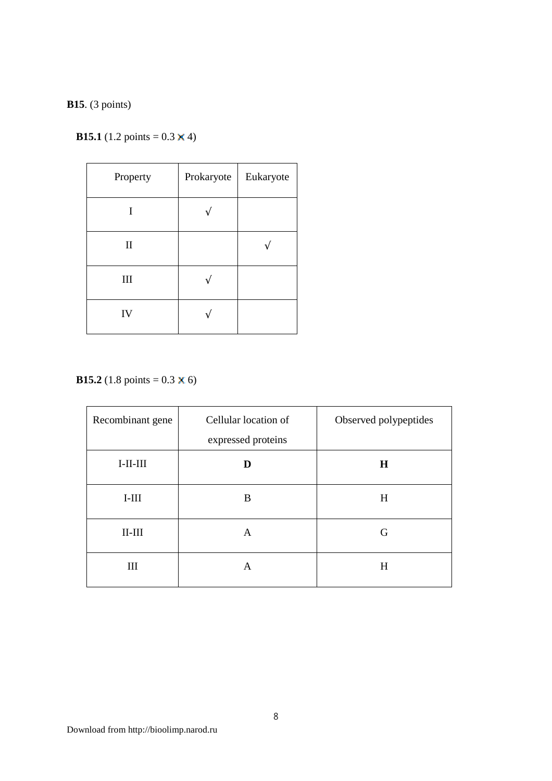#### **B15**. (3 points)

# **B15.1** (1.2 points =  $0.3 \times 4$ )

| Property    | Prokaryote | Eukaryote |
|-------------|------------|-----------|
|             |            |           |
| $\mathbf H$ |            |           |
| III         |            |           |
| IV          |            |           |

**B15.2** (1.8 points =  $0.3 \times 6$ )

| Recombinant gene | Cellular location of<br>expressed proteins | Observed polypeptides |
|------------------|--------------------------------------------|-----------------------|
| $I-II-III$       |                                            | H                     |
| $I-III$          | B                                          | H                     |
| $II-III$         | A                                          | G                     |
| Ш                | A                                          | Н                     |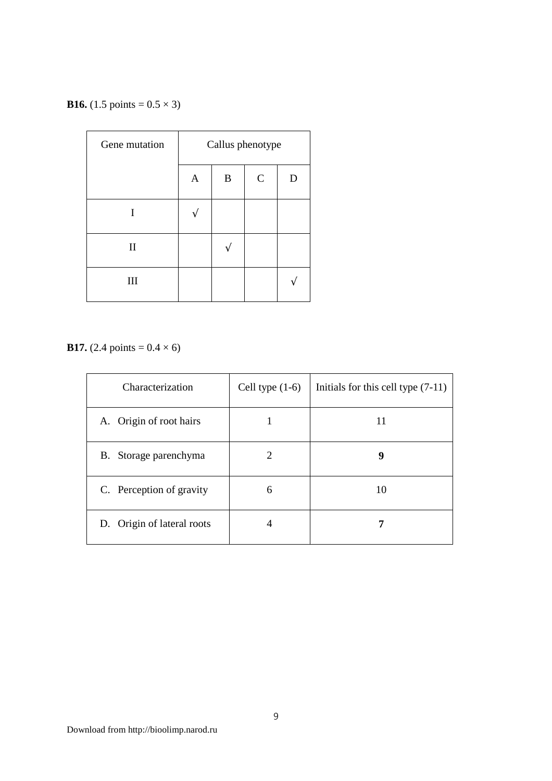**B16.** (1.5 points =  $0.5 \times 3$ )

| Gene mutation | Callus phenotype |   |              |  |
|---------------|------------------|---|--------------|--|
|               | $\mathsf{A}$     | B | $\mathsf{C}$ |  |
| T             |                  |   |              |  |
| $\mathbf{I}$  |                  |   |              |  |
| III           |                  |   |              |  |

**B17.** (2.4 points =  $0.4 \times 6$ )

| Characterization           | Cell type $(1-6)$           | Initials for this cell type $(7-11)$ |
|----------------------------|-----------------------------|--------------------------------------|
| A. Origin of root hairs    |                             | 11                                   |
| B. Storage parenchyma      | $\mathcal{D}_{\mathcal{A}}$ | 9                                    |
| C. Perception of gravity   | 6                           | 10                                   |
| D. Origin of lateral roots | 4                           |                                      |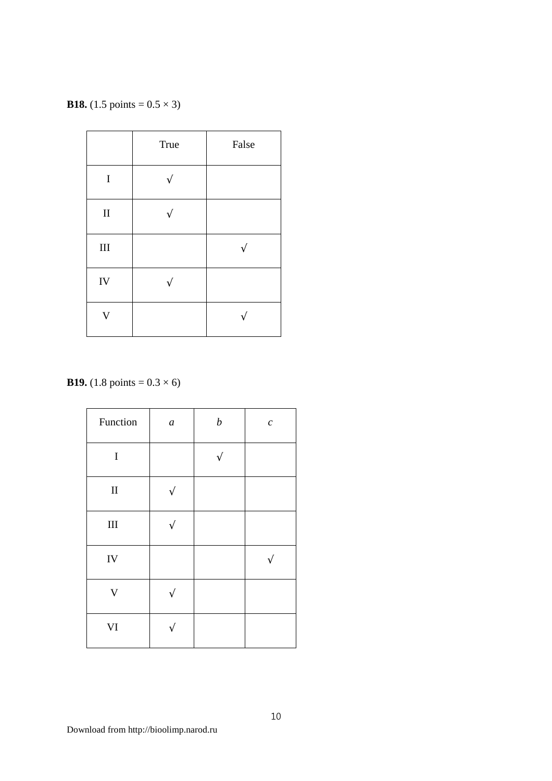**B18.** (1.5 points =  $0.5 \times 3$ )

|           | True | False |
|-----------|------|-------|
| $\bf I$   |      |       |
| $\rm II$  |      |       |
| $\rm III$ |      |       |
| IV        |      |       |
| V         |      |       |

**B19.** (1.8 points =  $0.3 \times 6$ )

| Function                | $\boldsymbol{a}$ | $\boldsymbol{b}$ | $\boldsymbol{c}$ |
|-------------------------|------------------|------------------|------------------|
| $\rm I$                 |                  |                  |                  |
| $\rm II$                |                  |                  |                  |
| $\rm III$               |                  |                  |                  |
| IV                      |                  |                  |                  |
| $\overline{\mathsf{V}}$ |                  |                  |                  |
| VI                      |                  |                  |                  |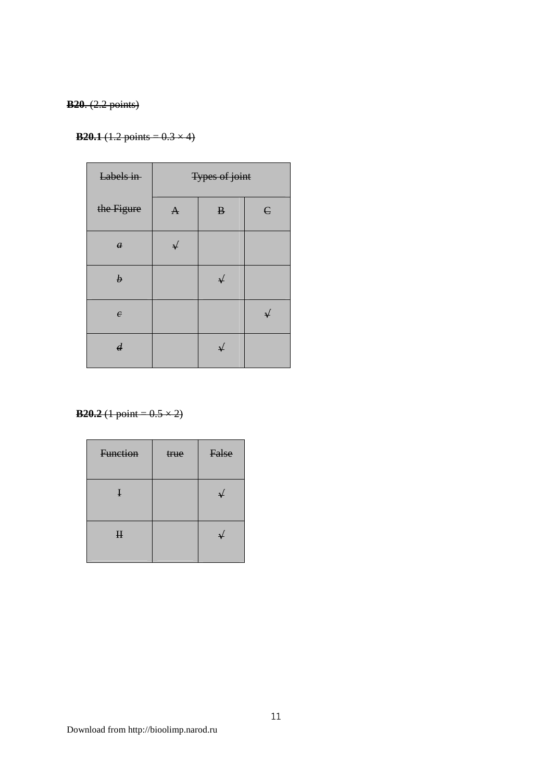#### **B20**. (2.2 points)

#### **B20.1** (1.2 points =  $0.3 \times 4$ )

| Labels in        |              | <b>Types of joint</b> |            |
|------------------|--------------|-----------------------|------------|
| the Figure       | $\mathbf{A}$ | $\bf{B}$              | $\epsilon$ |
| $\boldsymbol{a}$ | ↵            |                       |            |
| $\boldsymbol{b}$ |              | $\downarrow$          |            |
| $\epsilon$       |              |                       | ىد         |
| $\boldsymbol{d}$ |              | $\rightarrow$         |            |

**B20.2** (1 point =  $0.5 \times 2$ )

| Function    | true | False |
|-------------|------|-------|
| $\mathbf I$ |      |       |
| $\mathbf H$ |      |       |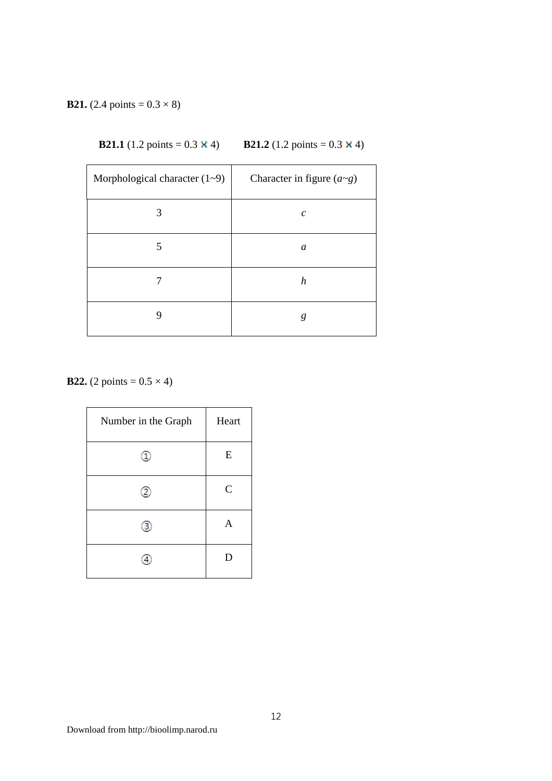#### **B21.** (2.4 points =  $0.3 \times 8$ )

| <b>B21.1</b> (1.2 points = $0.3 \times 4$ ) | <b>B21.2</b> (1.2 points = $0.3 \times 4$ ) |
|---------------------------------------------|---------------------------------------------|
|---------------------------------------------|---------------------------------------------|

| Morphological character $(1-9)$ | Character in figure $(a \sim g)$ |
|---------------------------------|----------------------------------|
| 3                               | $\mathcal{C}_{0}^{0}$            |
| 5                               | a                                |
|                                 | $\boldsymbol{h}$                 |
| g                               | g                                |

**B22.** (2 points =  $0.5 \times 4$ )

| Number in the Graph | Heart         |
|---------------------|---------------|
|                     | E             |
|                     | $\mathcal{C}$ |
| з                   | A             |
|                     | D             |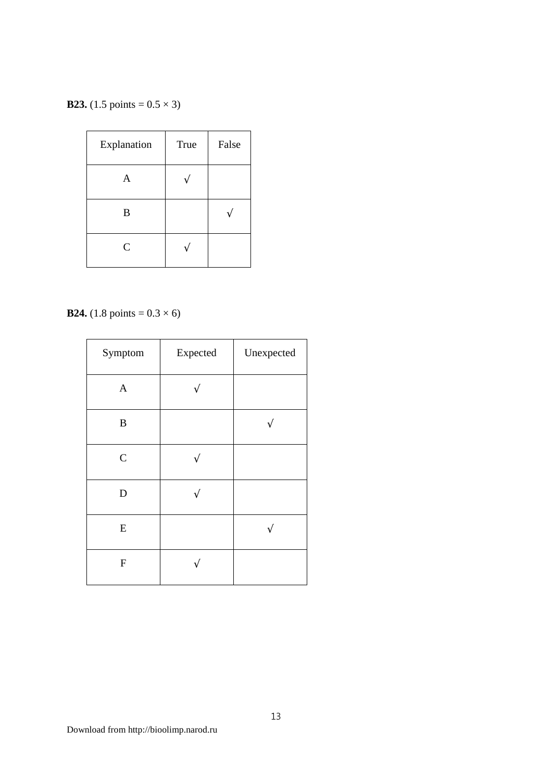**B23.** (1.5 points =  $0.5 \times 3$ )

| Explanation | True | False |
|-------------|------|-------|
| A           |      |       |
| B           |      |       |
| C           |      |       |

**B24.** (1.8 points =  $0.3 \times 6$ )

| Symptom        | Expected | Unexpected |
|----------------|----------|------------|
| $\mathbf{A}$   |          |            |
| $\, {\bf B}$   |          |            |
| $\overline{C}$ |          |            |
| $\mathbf D$    |          |            |
| ${\bf E}$      |          |            |
| ${\bf F}$      |          |            |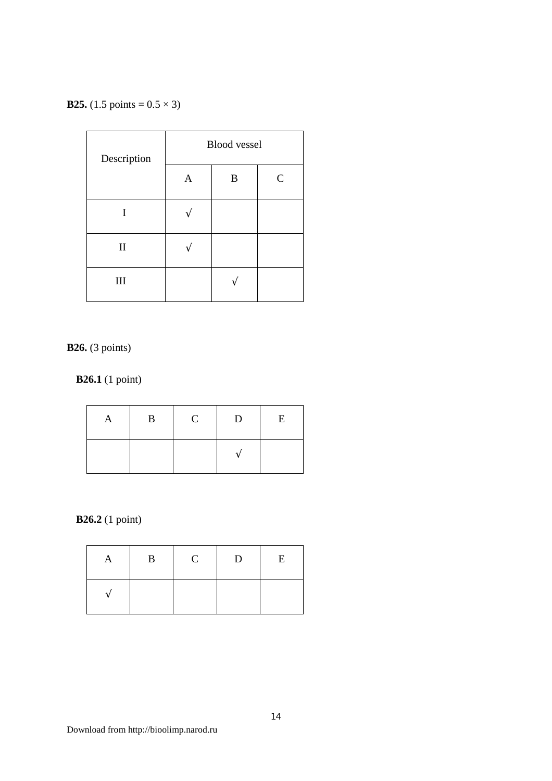**B25.**  $(1.5 \text{ points} = 0.5 \times 3)$ 

| Description  | <b>Blood</b> vessel |   |   |
|--------------|---------------------|---|---|
|              | $\overline{A}$      | B | C |
| I            |                     |   |   |
| $\mathbf{I}$ |                     |   |   |
| III          |                     |   |   |

**B26.** (3 points)

**B26.1** (1 point)

| B | $\mathbf C$ | D                        | E |
|---|-------------|--------------------------|---|
|   |             | $\overline{\phantom{a}}$ |   |

**B26.2** (1 point)

| A | $\mathbf{B}$ | $\mathbf{C}$ | D | E |
|---|--------------|--------------|---|---|
|   |              |              |   |   |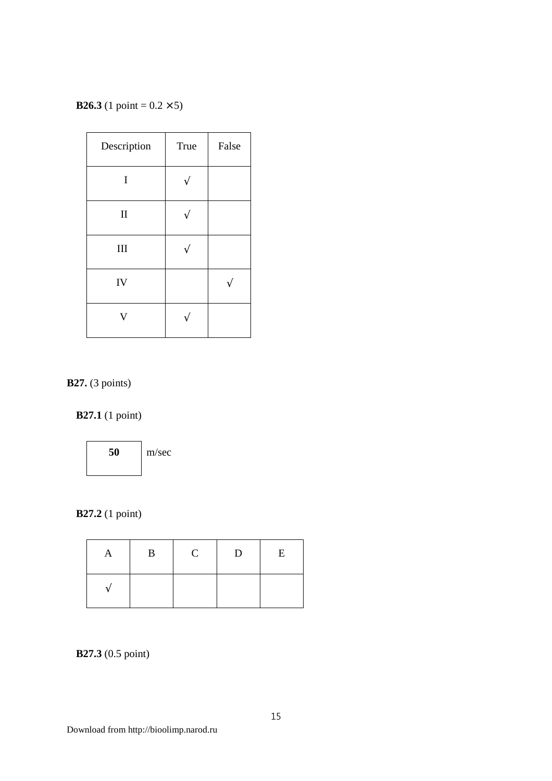**B26.3** (1 point =  $0.2 \times 5$ )

| Description  | <b>True</b> | False |
|--------------|-------------|-------|
| $\bf I$      |             |       |
| $\mathbf{I}$ |             |       |
| III          |             |       |
| IV           |             |       |
| V            |             |       |

**B27.** (3 points)

# **B27.1** (1 point)



#### **B27.2** (1 point)

| А | $\bf{B}$ | $\mathbf C$ | $\mathbf{D}$ | E |
|---|----------|-------------|--------------|---|
|   |          |             |              |   |

#### **B27.3** (0.5 point)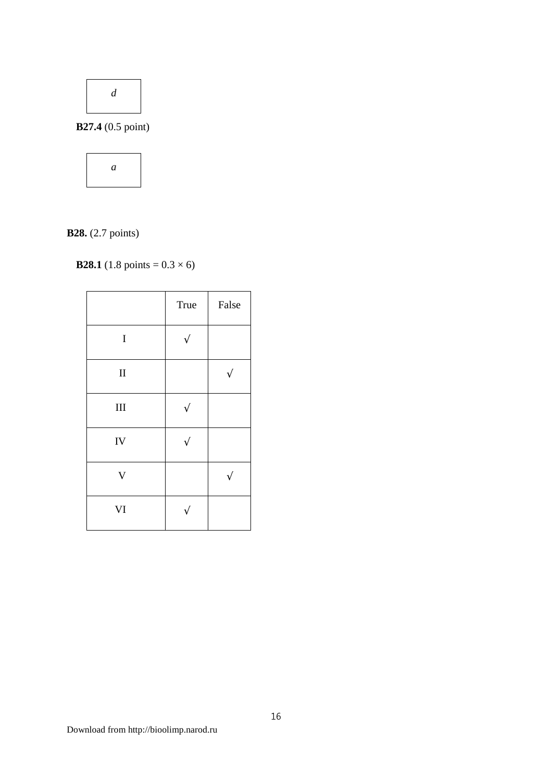

**B27.4** (0.5 point)



# **B28.** (2.7 points)

# **B28.1** (1.8 points =  $0.3 \times 6$ )

|                         | True | False |
|-------------------------|------|-------|
| $\bf I$                 |      |       |
| $\rm II$                |      |       |
| $III$                   |      |       |
| IV                      |      |       |
| $\overline{\mathsf{V}}$ |      |       |
| VI                      |      |       |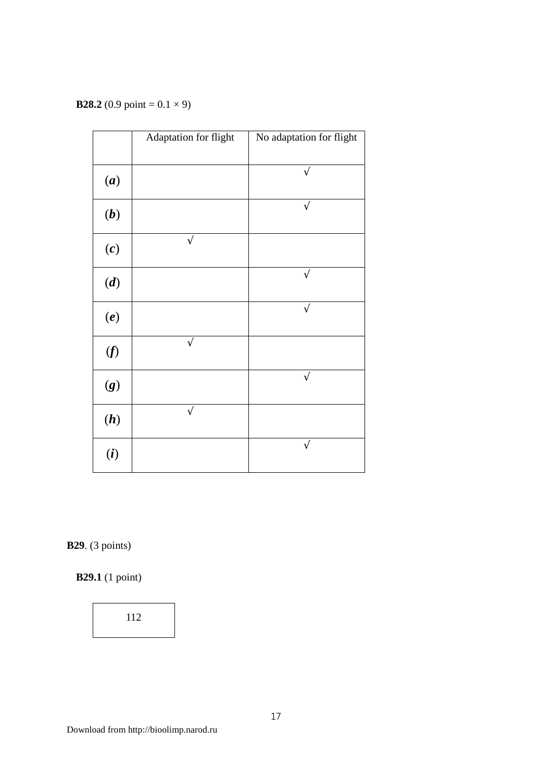**B28.2** (0.9 point =  $0.1 \times 9$ )

|     | Adaptation for flight | No adaptation for flight |
|-----|-----------------------|--------------------------|
|     |                       |                          |
| (a) |                       |                          |
| (b) |                       | $\sqrt{}$                |
| (c) | $\sqrt{}$             |                          |
| (d) |                       | ٦                        |
| (e) |                       | $\sqrt{2}$               |
| (f) | $\sqrt{}$             |                          |
| (g) |                       | $\sqrt{}$                |
| (h) |                       |                          |
| (i) |                       |                          |

**B29**. (3 points)

**B29.1** (1 point)

112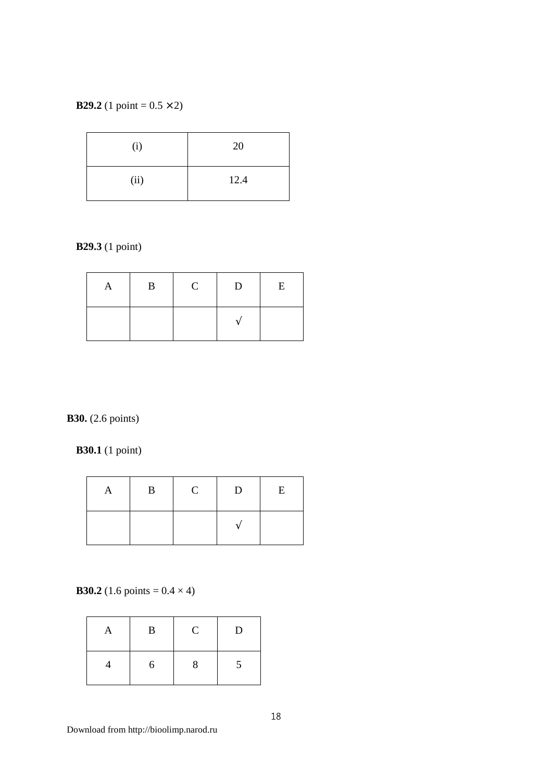#### **B29.2** (1 point =  $0.5 \times 2$ )

| (i)  | 20   |
|------|------|
| (ii) | 12.4 |

# **B29.3** (1 point)

| $\mathbf{B}$ | $\mathbf{C}$ | D | E |
|--------------|--------------|---|---|
|              |              |   |   |

# **B30.** (2.6 points)

**B30.1** (1 point)

| B | $\mathbf C$ | D | E |
|---|-------------|---|---|
|   |             |   |   |

**B30.2** (1.6 points =  $0.4 \times 4$ )

| 1 Y | $\mathbf{B}$ | $\mathcal{C}$ | D             |
|-----|--------------|---------------|---------------|
|     | 6            |               | $\mathcal{D}$ |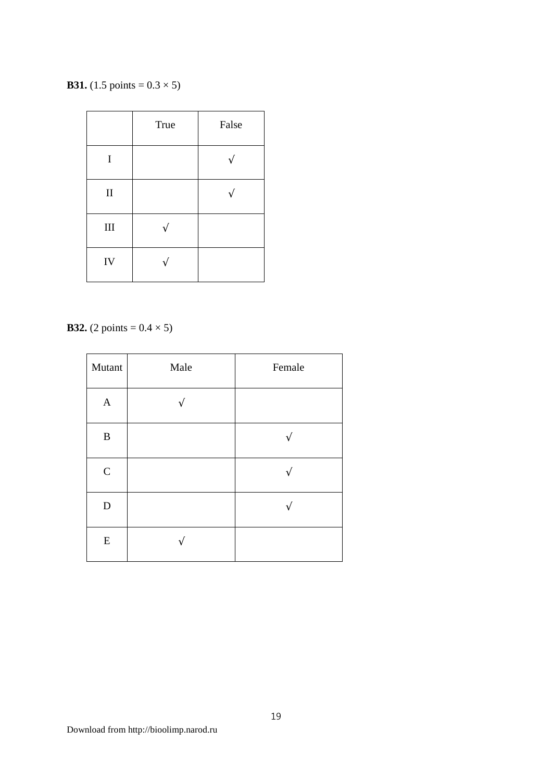**B31.** (1.5 points =  $0.3 \times 5$ )

|           | True | False |
|-----------|------|-------|
| I         |      |       |
| $\rm II$  |      |       |
| $\rm III$ |      |       |
| IV        |      |       |

**B32.** (2 points =  $0.4 \times 5$ )

| Mutant           | Male | Female |
|------------------|------|--------|
| $\boldsymbol{A}$ |      |        |
| $\, {\bf B}$     |      |        |
| $\mathsf{C}$     |      |        |
| $\mathbf D$      |      |        |
| ${\bf E}$        |      |        |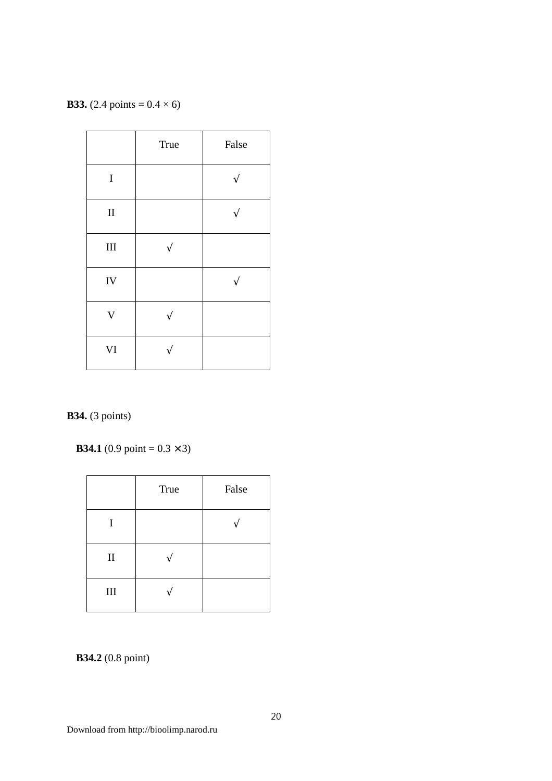**B33.** (2.4 points =  $0.4 \times 6$ )

|             | True | False |
|-------------|------|-------|
| $\rm I$     |      |       |
| $\rm II$    |      |       |
| $\rm III$   |      |       |
| IV          |      |       |
| $\bar{V}$   |      |       |
| $\mbox{VI}$ |      |       |

# **B34.** (3 points)

**B34.1** (0.9 point =  $0.3 \times 3$ )

|              | True | False |
|--------------|------|-------|
| I            |      |       |
| $\mathbf{I}$ |      |       |
| $\rm III$    |      |       |

#### **B34.2** (0.8 point)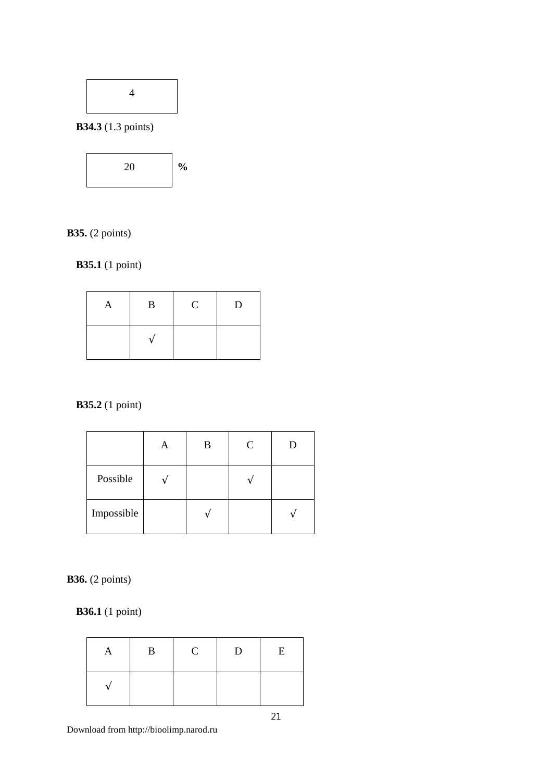

**B34.3** (1.3 points)



# **B35.** (2 points)

**B35.1** (1 point)

| A | $\mathbf{B}$ | $\mathbf C$ | $\mathbf{D}$ |
|---|--------------|-------------|--------------|
|   |              |             |              |

# **B35.2** (1 point)

|            | В | $\mathsf{C}$ |  |
|------------|---|--------------|--|
| Possible   |   |              |  |
| Impossible |   |              |  |

**B36.** (2 points)

**B36.1** (1 point)

| A                        | $\mathbf{B}$ | $\mathbf C$ | $\mathbf{D}$ | E |
|--------------------------|--------------|-------------|--------------|---|
| $\overline{\phantom{a}}$ |              |             |              |   |

21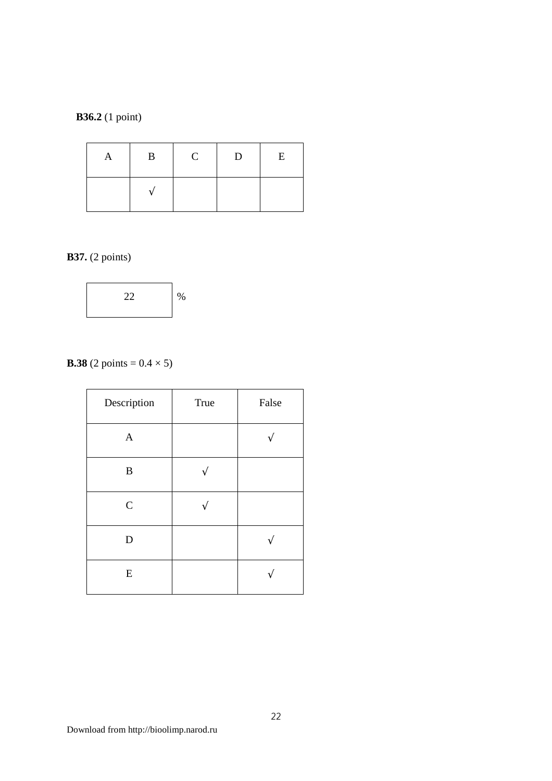#### **B36.2** (1 point)

| $\mathbf{B}$ | $\mathbf C$ | D | E |
|--------------|-------------|---|---|
|              |             |   |   |

#### **B37.** (2 points)



# **B.38** (2 points =  $0.4 \times 5$ )

| Description   | True | False |
|---------------|------|-------|
| $\mathbf{A}$  |      |       |
| $\bf{B}$      |      |       |
| $\mathcal{C}$ |      |       |
| D             |      |       |
| E             |      |       |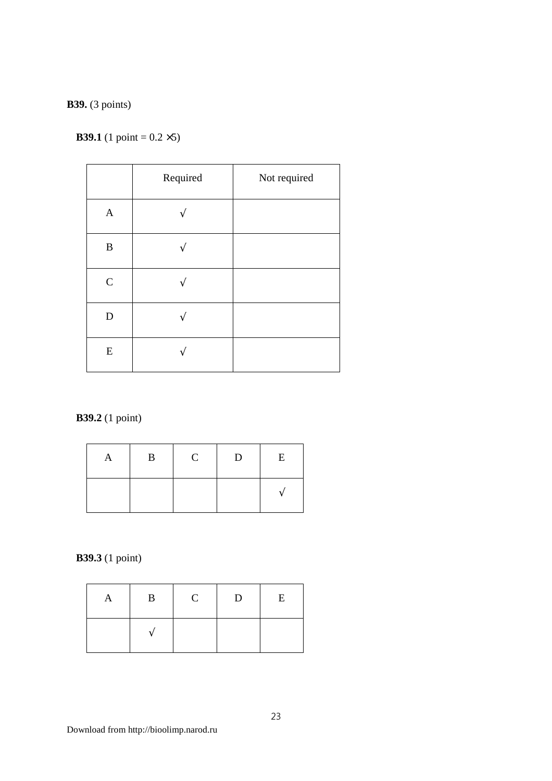#### **B39.** (3 points)

#### **B39.1** (1 point =  $0.2 \times 5$ )

|                           | Required | Not required |
|---------------------------|----------|--------------|
| $\boldsymbol{\mathsf{A}}$ |          |              |
| $\, {\bf B}$              |          |              |
| $\mathbf C$               |          |              |
| ${\bf D}$                 |          |              |
| ${\bf E}$                 |          |              |

# **B39.2** (1 point)

| A | B | $\mathbf C$ | D | E |
|---|---|-------------|---|---|
|   |   |             |   |   |

# **B39.3** (1 point)

| A | $\mathbf{B}$             | $\mathbf C$ | $\mathbf{D}$ | E |
|---|--------------------------|-------------|--------------|---|
|   | $\overline{\phantom{a}}$ |             |              |   |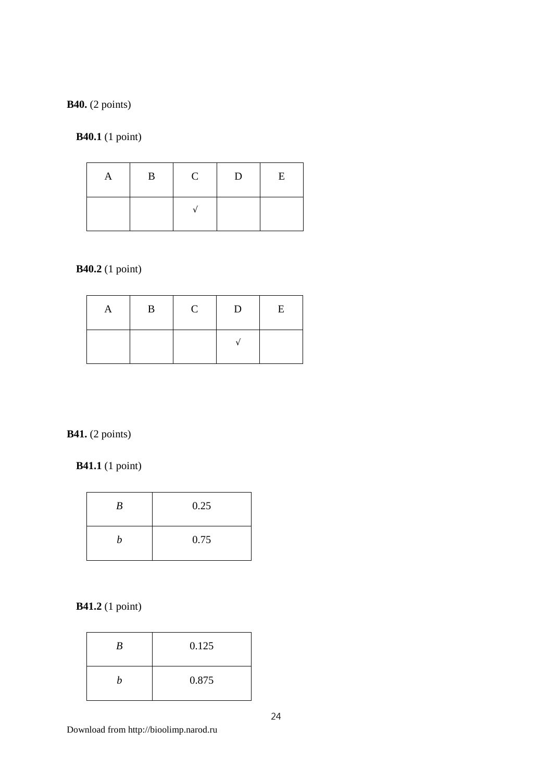#### **B40.** (2 points)

#### **B40.1** (1 point)

| A | B | $\mathbf{C}$ | $\mathbf{D}$ | E |
|---|---|--------------|--------------|---|
|   |   |              |              |   |

#### **B40.2** (1 point)

| A | $\mathbf{B}$ | $\mathbf C$ | D | E |
|---|--------------|-------------|---|---|
|   |              |             |   |   |

#### **B41.** (2 points)

# **B41.1** (1 point)

| B | 0.25 |
|---|------|
|   | 0.75 |

# **B41.2** (1 point)

| B | 0.125 |
|---|-------|
|   | 0.875 |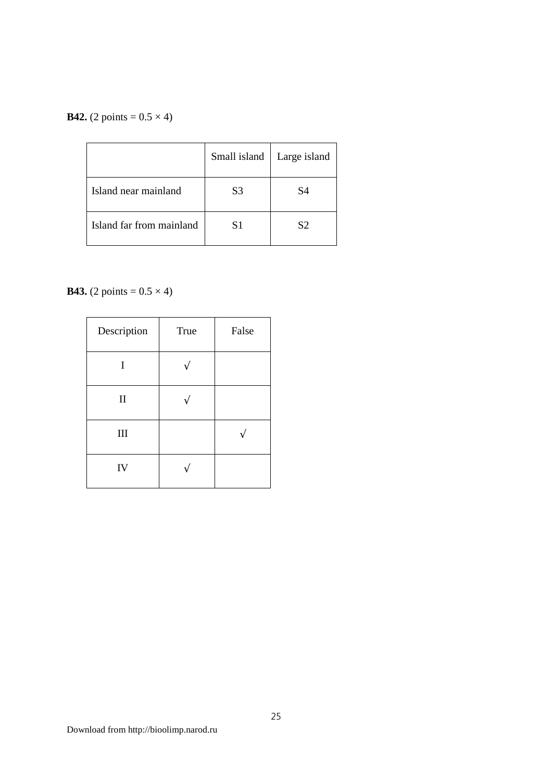#### **B42.** (2 points =  $0.5 \times 4$ )

|                          | Small island | Large island   |
|--------------------------|--------------|----------------|
| Island near mainland     | S3           | S4             |
| Island far from mainland | S1           | S <sub>2</sub> |

# **B43.** (2 points =  $0.5 \times 4$ )

| Description                 | True | False |
|-----------------------------|------|-------|
| I                           |      |       |
| $\mathbf{I}$                |      |       |
| $\mathop{\rm III}\nolimits$ |      |       |
| IV                          |      |       |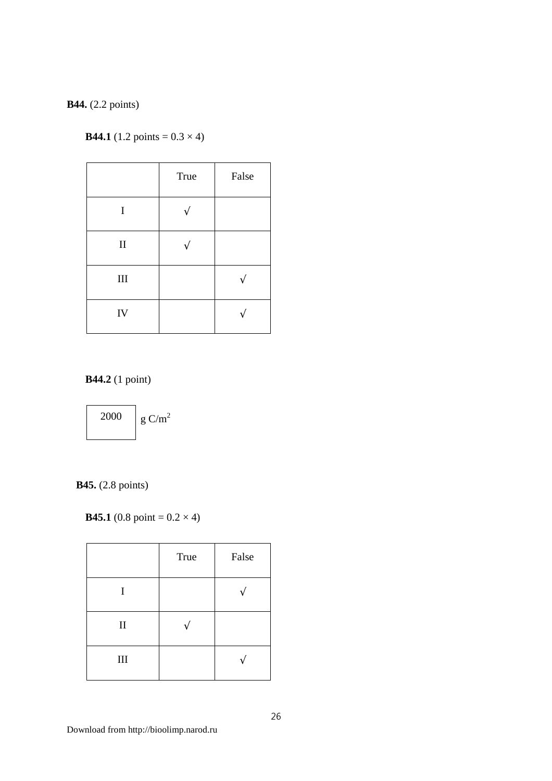#### **B44.** (2.2 points)

#### **B44.1** (1.2 points =  $0.3 \times 4$ )

|            | True | False |
|------------|------|-------|
| I          |      |       |
| $\rm II$   |      |       |
| $\rm III$  |      |       |
| ${\rm IV}$ |      |       |

**B44.2** (1 point)



**B45.** (2.8 points)

**B45.1** (0.8 point =  $0.2 \times 4$ )

|              | True | False |
|--------------|------|-------|
| I            |      |       |
| $\mathbf{I}$ |      |       |
| $\rm III$    |      |       |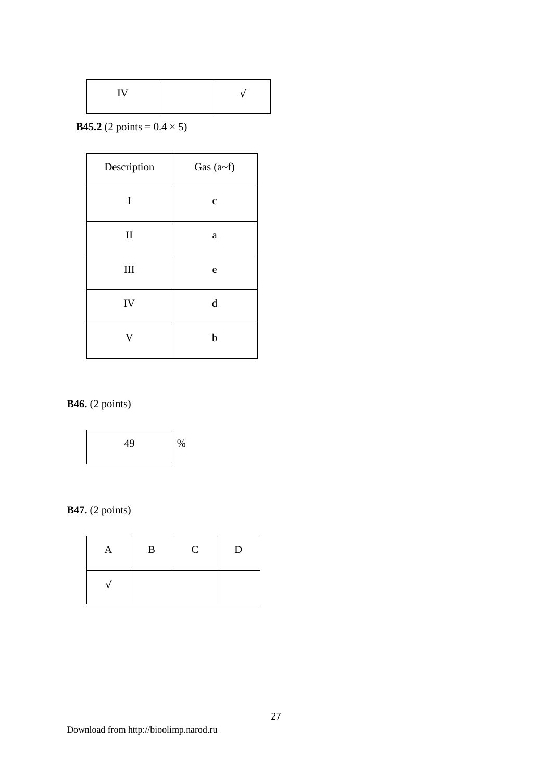|  | <b>TT</b> T |  |  |
|--|-------------|--|--|
|--|-------------|--|--|

**B45.2** (2 points =  $0.4 \times 5$ )

| Description | Gas $(a-f)$ |
|-------------|-------------|
| I           | $\mathbf C$ |
| $\mathbf H$ | a           |
| III         | e           |
| IV          | $\mathbf d$ |
| V           | $\mathbf b$ |

# **B46.** (2 points)



**B47.** (2 points)

| A | $\bf{B}$ | $\mathbf C$ | D |
|---|----------|-------------|---|
|   |          |             |   |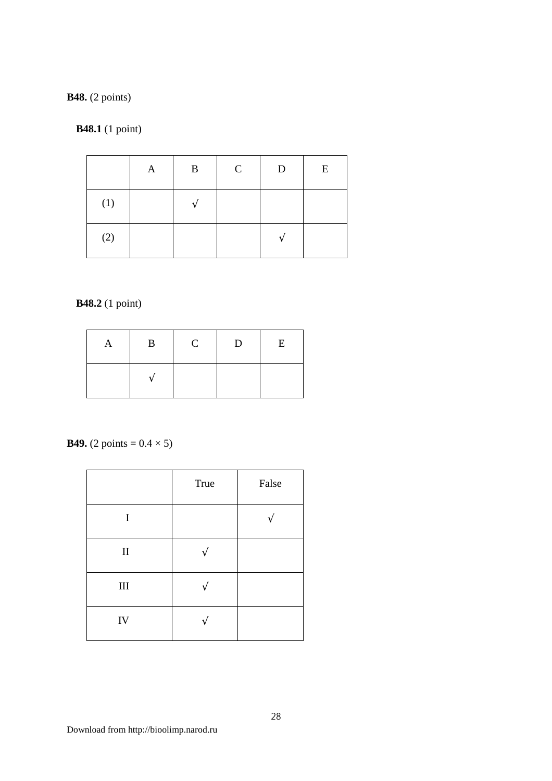**B48.** (2 points)

**B48.1** (1 point)

|     | A | B | $\mathsf{C}$ | D | E |
|-----|---|---|--------------|---|---|
| (1) |   |   |              |   |   |
| (2) |   |   |              |   |   |

**B48.2** (1 point)

| A | $\bf{B}$          | $\mathbf C$ | D | E |
|---|-------------------|-------------|---|---|
|   | $\mathbf \Lambda$ |             |   |   |

**B49.** (2 points =  $0.4 \times 5$ )

|            | True | False |
|------------|------|-------|
| I          |      |       |
| $\rm II$   |      |       |
| $\rm III$  |      |       |
| ${\rm IV}$ |      |       |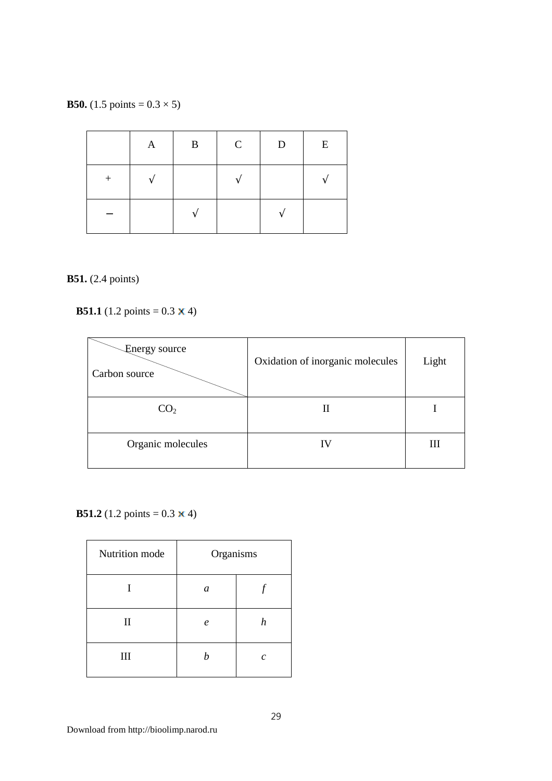**B50.** (1.5 points =  $0.3 \times 5$ )

|        | A | B | $\mathcal{C}$ | D | E |
|--------|---|---|---------------|---|---|
| $^{+}$ |   |   |               |   |   |
|        |   |   |               |   |   |

#### **B51.** (2.4 points)

**B51.1**  $(1.2 \text{ points} = 0.3 \times 4)$ 



**B51.2** (1.2 points =  $0.3 \times 4$ )

| Nutrition mode | Organisms        |   |
|----------------|------------------|---|
|                | a                |   |
| $\mathbf{I}$   | $\boldsymbol{e}$ | h |
| III            |                  | c |